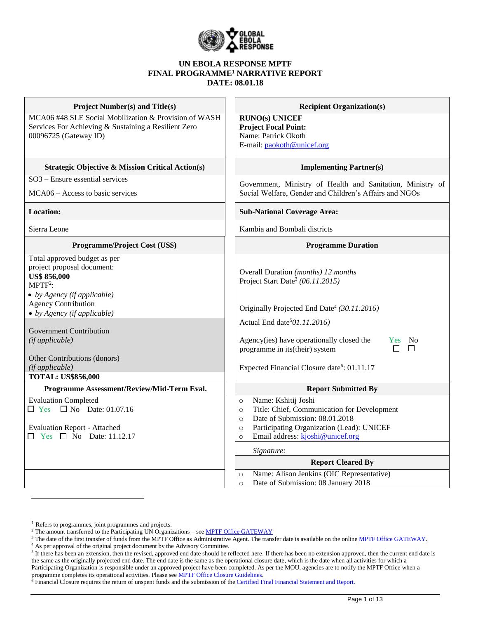

#### **UN EBOLA RESPONSE MPTF FINAL PROGRAMME<sup>1</sup> NARRATIVE REPORT DATE: 08.01.18**

| <b>Project Number(s) and Title(s)</b><br>MCA06 #48 SLE Social Mobilization & Provision of WASH<br>Services For Achieving & Sustaining a Resilient Zero<br>00096725 (Gateway ID)                                                                                                                                                                 | <b>Recipient Organization(s)</b><br><b>RUNO(s) UNICEF</b><br><b>Project Focal Point:</b><br>Name: Patrick Okoth<br>E-mail: paokoth@unicef.org                                                                                                                                                                                                                 |  |  |  |  |
|-------------------------------------------------------------------------------------------------------------------------------------------------------------------------------------------------------------------------------------------------------------------------------------------------------------------------------------------------|---------------------------------------------------------------------------------------------------------------------------------------------------------------------------------------------------------------------------------------------------------------------------------------------------------------------------------------------------------------|--|--|--|--|
| <b>Strategic Objective &amp; Mission Critical Action(s)</b>                                                                                                                                                                                                                                                                                     | <b>Implementing Partner(s)</b>                                                                                                                                                                                                                                                                                                                                |  |  |  |  |
| SO3 - Ensure essential services<br>MCA06 – Access to basic services                                                                                                                                                                                                                                                                             | Government, Ministry of Health and Sanitation, Ministry of<br>Social Welfare, Gender and Children's Affairs and NGOs                                                                                                                                                                                                                                          |  |  |  |  |
| <b>Location:</b>                                                                                                                                                                                                                                                                                                                                | <b>Sub-National Coverage Area:</b>                                                                                                                                                                                                                                                                                                                            |  |  |  |  |
| Sierra Leone                                                                                                                                                                                                                                                                                                                                    | Kambia and Bombali districts                                                                                                                                                                                                                                                                                                                                  |  |  |  |  |
| Programme/Project Cost (US\$)                                                                                                                                                                                                                                                                                                                   | <b>Programme Duration</b>                                                                                                                                                                                                                                                                                                                                     |  |  |  |  |
| Total approved budget as per<br>project proposal document:<br><b>US\$ 856,000</b><br>$MPTF2$ :<br>$\bullet$ by Agency (if applicable)<br><b>Agency Contribution</b><br>$\bullet$ by Agency (if applicable)<br><b>Government Contribution</b><br>(if applicable)<br>Other Contributions (donors)<br>(if applicable)<br><b>TOTAL: US\$856,000</b> | Overall Duration (months) 12 months<br>Project Start Date <sup>3</sup> (06.11.2015)<br>Originally Projected End Date <sup>4</sup> (30.11.2016)<br>Actual End date <sup>5</sup> 01.11.2016)<br>Agency(ies) have operationally closed the<br>Yes No<br>П<br>$\Box$<br>programme in its(their) system<br>Expected Financial Closure date <sup>6</sup> : 01.11.17 |  |  |  |  |
| Programme Assessment/Review/Mid-Term Eval.                                                                                                                                                                                                                                                                                                      | <b>Report Submitted By</b>                                                                                                                                                                                                                                                                                                                                    |  |  |  |  |
| <b>Evaluation Completed</b><br>$\Box$ Yes<br>$\Box$ No Date: 01.07.16<br><b>Evaluation Report - Attached</b><br>$\Box$ Yes $\Box$ No Date: 11.12.17                                                                                                                                                                                             | Name: Kshitij Joshi<br>$\circ$<br>Title: Chief, Communication for Development<br>$\circ$<br>Date of Submission: 08.01.2018<br>$\circ$<br>Participating Organization (Lead): UNICEF<br>$\circ$<br>Email address: kjoshi@unicef.org<br>$\circ$                                                                                                                  |  |  |  |  |
|                                                                                                                                                                                                                                                                                                                                                 | Signature:                                                                                                                                                                                                                                                                                                                                                    |  |  |  |  |
|                                                                                                                                                                                                                                                                                                                                                 | <b>Report Cleared By</b>                                                                                                                                                                                                                                                                                                                                      |  |  |  |  |
|                                                                                                                                                                                                                                                                                                                                                 | Name: Alison Jenkins (OIC Representative)<br>$\circ$<br>Date of Submission: 08 January 2018<br>$\circ$                                                                                                                                                                                                                                                        |  |  |  |  |

 $\overline{a}$ 

<sup>&</sup>lt;sup>1</sup> Refers to programmes, joint programmes and projects.

<sup>&</sup>lt;sup>2</sup> The amount transferred to the Participating UN Organizations – see **MPTF Office GATEWAY** 

<sup>&</sup>lt;sup>3</sup> The date of the first transfer of funds from the MPTF Office as Administrative Agent. The transfer date is available on the online [MPTF Office GATEWAY.](http://mdtf.undp.org/)

<sup>4</sup> As per approval of the original project document by the Advisory Committee.

 $5$  If there has been an extension, then the revised, approved end date should be reflected here. If there has been no extension approved, then the current end date is the same as the originally projected end date. The end date is the same as the operational closure date, which is the date when all activities for which a Participating Organization is responsible under an approved project have been completed. As per the MOU, agencies are to notify the MPTF Office when a programme completes its operational activities. Please see **MPTF Office Closure Guidelines**.

 $\delta$  Financial Closure requires the return of unspent funds and the submission of th[e Certified Final Financial Statement and Report.](http://mdtf.undp.org/document/download/5388)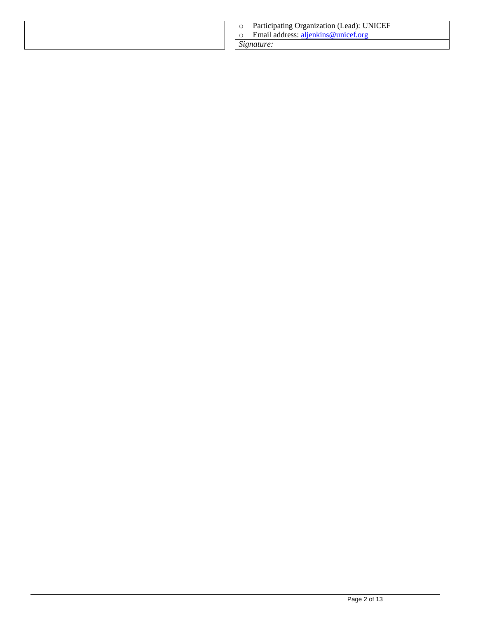| Participating Organization (Lead): UNICEF<br>Email address: aljenkins@unicef.org |
|----------------------------------------------------------------------------------|
| Signature:                                                                       |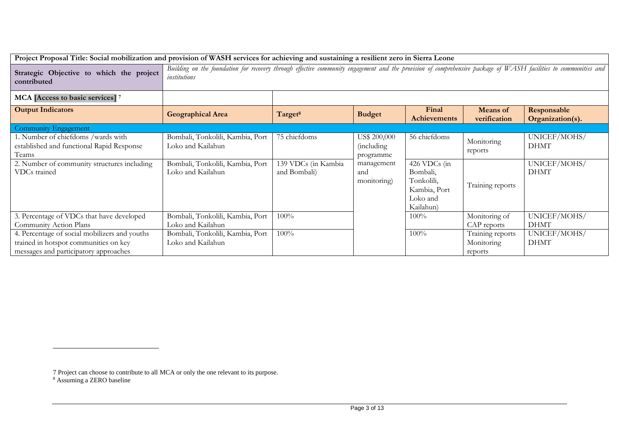| Project Proposal Title: Social mobilization and provision of WASH services for achieving and sustaining a resilient zero in Sierra Leone |                                                                                                                                                                                 |                                     |                                                 |                                                                                 |                                           |                                 |
|------------------------------------------------------------------------------------------------------------------------------------------|---------------------------------------------------------------------------------------------------------------------------------------------------------------------------------|-------------------------------------|-------------------------------------------------|---------------------------------------------------------------------------------|-------------------------------------------|---------------------------------|
| Strategic Objective to which the project<br>contributed                                                                                  | Building on the foundation for recovery through effective community engagement and the provision of comprehensive package of WASH facilities to communities and<br>institutions |                                     |                                                 |                                                                                 |                                           |                                 |
| MCA [Access to basic services] 7                                                                                                         |                                                                                                                                                                                 |                                     |                                                 |                                                                                 |                                           |                                 |
| <b>Output Indicators</b>                                                                                                                 | <b>Geographical Area</b>                                                                                                                                                        | Target <sup>8</sup>                 | <b>Budget</b>                                   | Final<br>Achievements                                                           | <b>Means</b> of<br>verification           | Responsable<br>Organization(s). |
| <b>Community Engagement</b>                                                                                                              |                                                                                                                                                                                 |                                     |                                                 |                                                                                 |                                           |                                 |
| 1. Number of chiefdoms /wards with<br>established and functional Rapid Response<br>Teams                                                 | Bombali, Tonkolili, Kambia, Port<br>Loko and Kailahun                                                                                                                           | 75 chiefdoms                        | US\$ 200,000<br><i>(including)</i><br>programme | 56 chiefdoms                                                                    | Monitoring<br>reports                     | UNICEF/MOHS/<br><b>DHMT</b>     |
| 2. Number of community structures including<br>VDCs trained                                                                              | Bombali, Tonkolili, Kambia, Port<br>Loko and Kailahun                                                                                                                           | 139 VDCs (in Kambia<br>and Bombali) | management<br>and<br>monitoring)                | 426 VDCs (in<br>Bombali,<br>Tonkolili,<br>Kambia, Port<br>Loko and<br>Kailahun) | Training reports                          | UNICEF/MOHS/<br><b>DHMT</b>     |
| 3. Percentage of VDCs that have developed<br>Community Action Plans                                                                      | Bombali, Tonkolili, Kambia, Port<br>Loko and Kailahun                                                                                                                           | 100%                                |                                                 | $100\%$                                                                         | Monitoring of<br>CAP reports              | UNICEF/MOHS/<br><b>DHMT</b>     |
| 4. Percentage of social mobilizers and youths<br>trained in hotspot communities on key<br>messages and participatory approaches          | Bombali, Tonkolili, Kambia, Port<br>Loko and Kailahun                                                                                                                           | 100%                                |                                                 | 100%                                                                            | Training reports<br>Monitoring<br>reports | UNICEF/MOHS/<br><b>DHMT</b>     |

 $\overline{a}$ 

<sup>7</sup> Project can choose to contribute to all MCA or only the one relevant to its purpose.

<sup>8</sup> Assuming a ZERO baseline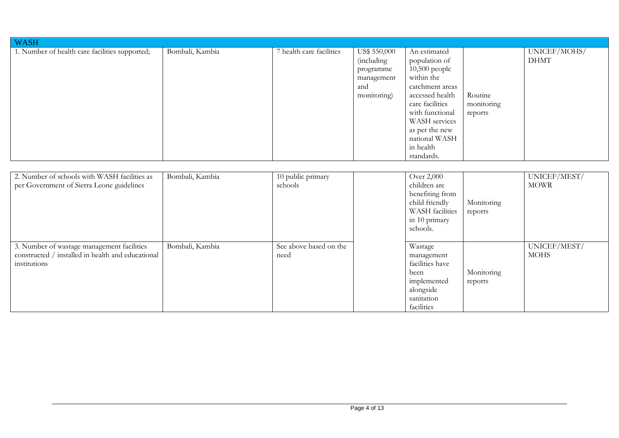| <b>WASH</b>                                    |                 |                          |                                                                             |                                                                                                                                                                                                                           |                                  |                             |
|------------------------------------------------|-----------------|--------------------------|-----------------------------------------------------------------------------|---------------------------------------------------------------------------------------------------------------------------------------------------------------------------------------------------------------------------|----------------------------------|-----------------------------|
| 1. Number of health care facilities supported; | Bombali, Kambia | 7 health care facilities | US\$ 550,000<br>(including<br>programme<br>management<br>and<br>monitoring) | An estimated<br>population of<br>$10,500$ people<br>within the<br>catchment areas<br>accessed health<br>care facilities<br>with functional<br>WASH services<br>as per the new<br>national WASH<br>in health<br>standards. | Routine<br>monitoring<br>reports | UNICEF/MOHS/<br><b>DHMT</b> |

| 2. Number of schools with WASH facilities as      | Bombali, Kambia | 10 public primary      | Over 2,000      |            | UNICEF/MEST/ |
|---------------------------------------------------|-----------------|------------------------|-----------------|------------|--------------|
| per Government of Sierra Leone guidelines         |                 | schools                | children are    |            | <b>MOWR</b>  |
|                                                   |                 |                        | benefiting from |            |              |
|                                                   |                 |                        | child friendly  | Monitoring |              |
|                                                   |                 |                        | WASH facilities | reports    |              |
|                                                   |                 |                        | in 10 primary   |            |              |
|                                                   |                 |                        | schools.        |            |              |
|                                                   |                 |                        |                 |            |              |
| 3. Number of wastage management facilities        | Bombali, Kambia | See above based on the | Wastage         |            | UNICEF/MEST/ |
| constructed / installed in health and educational |                 | need                   | management      |            | <b>MOHS</b>  |
| institutions                                      |                 |                        | facilities have |            |              |
|                                                   |                 |                        | been            | Monitoring |              |
|                                                   |                 |                        | implemented     | reports    |              |
|                                                   |                 |                        | alongside       |            |              |
|                                                   |                 |                        | sanitation      |            |              |
|                                                   |                 |                        | facilities      |            |              |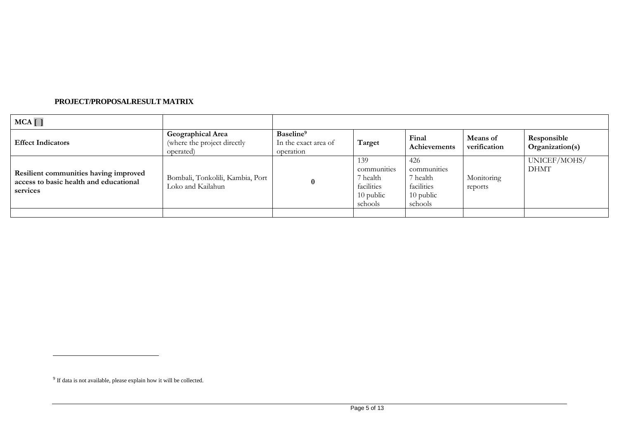#### **PROJECT/PROPOSALRESULT MATRIX**

| $MCA$ $\vert$ $\vert$                                                                       |                                                               |                                                            |                                                                        |                                                                      |                          |                                |
|---------------------------------------------------------------------------------------------|---------------------------------------------------------------|------------------------------------------------------------|------------------------------------------------------------------------|----------------------------------------------------------------------|--------------------------|--------------------------------|
| <b>Effect Indicators</b>                                                                    | Geographical Area<br>(where the project directly<br>operated) | Baseline <sup>9</sup><br>In the exact area of<br>operation | Target                                                                 | Final<br>Achievements                                                | Means of<br>verification | Responsible<br>Organization(s) |
| Resilient communities having improved<br>access to basic health and educational<br>services | Bombali, Tonkolili, Kambia, Port<br>Loko and Kailahun         | $\bf{0}$                                                   | 139<br>communities<br>7 health<br>facilities<br>$10$ public<br>schools | 426<br>communities<br>7 health<br>facilities<br>10 public<br>schools | Monitoring<br>reports    | UNICEF/MOHS/<br><b>DHMT</b>    |
|                                                                                             |                                                               |                                                            |                                                                        |                                                                      |                          |                                |

 $\overline{a}$ 

<sup>&</sup>lt;sup>9</sup> If data is not available, please explain how it will be collected.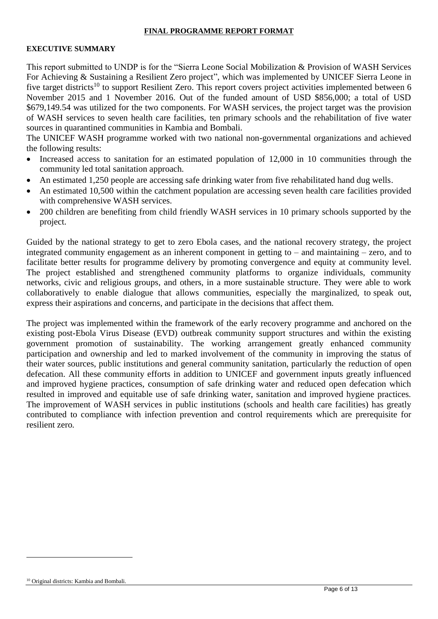#### **FINAL PROGRAMME REPORT FORMAT**

#### **EXECUTIVE SUMMARY**

This report submitted to UNDP is for the "Sierra Leone Social Mobilization & Provision of WASH Services For Achieving & Sustaining a Resilient Zero project", which was implemented by UNICEF Sierra Leone in five target districts<sup>10</sup> to support Resilient Zero. This report covers project activities implemented between 6 November 2015 and 1 November 2016. Out of the funded amount of USD \$856,000; a total of USD \$679,149.54 was utilized for the two components. For WASH services, the project target was the provision of WASH services to seven health care facilities, ten primary schools and the rehabilitation of five water sources in quarantined communities in Kambia and Bombali.

The UNICEF WASH programme worked with two national non-governmental organizations and achieved the following results:

- Increased access to sanitation for an estimated population of 12,000 in 10 communities through the community led total sanitation approach.
- An estimated 1,250 people are accessing safe drinking water from five rehabilitated hand dug wells.
- An estimated 10,500 within the catchment population are accessing seven health care facilities provided with comprehensive WASH services.
- 200 children are benefiting from child friendly WASH services in 10 primary schools supported by the project.

Guided by the national strategy to get to zero Ebola cases, and the national recovery strategy, the project integrated community engagement as an inherent component in getting to – and maintaining – zero, and to facilitate better results for programme delivery by promoting convergence and equity at community level. The project established and strengthened community platforms to organize individuals, community networks, civic and religious groups, and others, in a more sustainable structure. They were able to work collaboratively to enable dialogue that allows communities, especially the marginalized, to speak out, express their aspirations and concerns, and participate in the decisions that affect them.

The project was implemented within the framework of the early recovery programme and anchored on the existing post-Ebola Virus Disease (EVD) outbreak community support structures and within the existing government promotion of sustainability. The working arrangement greatly enhanced community participation and ownership and led to marked involvement of the community in improving the status of their water sources, public institutions and general community sanitation, particularly the reduction of open defecation. All these community efforts in addition to UNICEF and government inputs greatly influenced and improved hygiene practices, consumption of safe drinking water and reduced open defecation which resulted in improved and equitable use of safe drinking water, sanitation and improved hygiene practices. The improvement of WASH services in public institutions (schools and health care facilities) has greatly contributed to compliance with infection prevention and control requirements which are prerequisite for resilient zero.

-

<sup>10</sup> Original districts: Kambia and Bombali.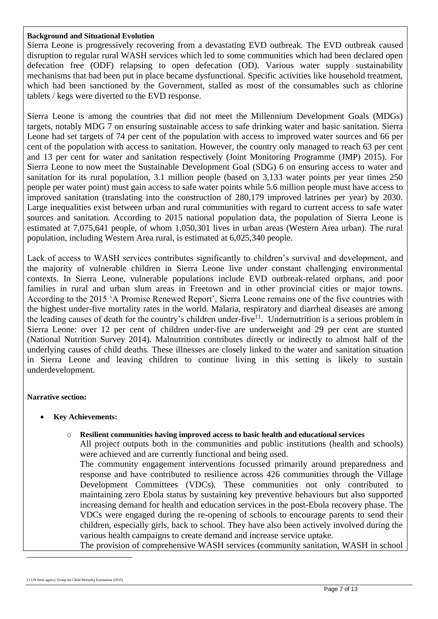#### **Background and Situational Evolution**

Sierra Leone is progressively recovering from a devastating EVD outbreak. The EVD outbreak caused disruption to regular rural WASH services which led to some communities which had been declared open defecation free (ODF) relapsing to open defecation (OD). Various water supply sustainability mechanisms that had been put in place became dysfunctional. Specific activities like household treatment, which had been sanctioned by the Government, stalled as most of the consumables such as chlorine tablets / kegs were diverted to the EVD response.

Sierra Leone is among the countries that did not meet the Millennium Development Goals (MDGs) targets, notably MDG 7 on ensuring sustainable access to safe drinking water and basic sanitation. Sierra Leone had set targets of 74 per cent of the population with access to improved water sources and 66 per cent of the population with access to sanitation. However, the country only managed to reach 63 per cent and 13 per cent for water and sanitation respectively (Joint Monitoring Programme (JMP) 2015). For Sierra Leone to now meet the Sustainable Development Goal (SDG) 6 on ensuring access to water and sanitation for its rural population, 3.1 million people (based on 3,133 water points per year times 250 people per water point) must gain access to safe water points while 5.6 million people must have access to improved sanitation (translating into the construction of 280,179 improved latrines per year) by 2030. Large inequalities exist between urban and rural communities with regard to current access to safe water sources and sanitation. According to 2015 national population data, the population of Sierra Leone is estimated at 7,075,641 people, of whom 1,050,301 lives in urban areas (Western Area urban). The rural population, including Western Area rural, is estimated at 6,025,340 people.

Lack of access to WASH services contributes significantly to children's survival and development, and the majority of vulnerable children in Sierra Leone live under constant challenging environmental contexts. In Sierra Leone, vulnerable populations include EVD outbreak-related orphans, and poor families in rural and urban slum areas in Freetown and in other provincial cities or major towns. According to the 2015 'A Promise Renewed Report', Sierra Leone remains one of the five countries with the highest under-five mortality rates in the world. Malaria, respiratory and diarrheal diseases are among the leading causes of death for the country's children under-five<sup>11</sup>. Undernutrition is a serious problem in Sierra Leone: over 12 per cent of children under-five are underweight and 29 per cent are stunted (National Nutrition Survey 2014). Malnutrition contributes directly or indirectly to almost half of the underlying causes of child deaths. These illnesses are closely linked to the water and sanitation situation in Sierra Leone and leaving children to continue living in this setting is likely to sustain underdevelopment.

#### **Narrative section:**

**Key Achievements:**

#### o **Resilient communities having improved access to basic health and educational services**

All project outputs both in the communities and public institutions (health and schools) were achieved and are currently functional and being used.

The community engagement interventions focussed primarily around preparedness and response and have contributed to resilience across 426 communities through the Village Development Committees (VDCs). These communities not only contributed to maintaining zero Ebola status by sustaining key preventive behaviours but also supported increasing demand for health and education services in the post-Ebola recovery phase. The VDCs were engaged during the re-opening of schools to encourage parents to send their children, especially girls, back to school. They have also been actively involved during the various health campaigns to create demand and increase service uptake.

The provision of comprehensive WASH services (community sanitation, WASH in school

-

<sup>11</sup> [UN Inter-agency Group for Child Mortality Estimation](http://www.childmortality.org/index.php?r=site/graph) (2015)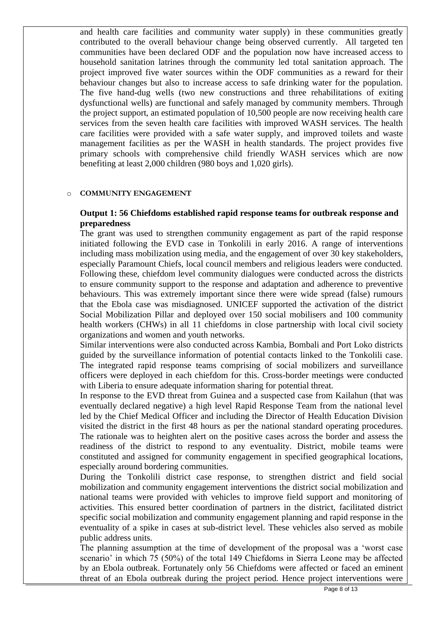and health care facilities and community water supply) in these communities greatly contributed to the overall behaviour change being observed currently. All targeted ten communities have been declared ODF and the population now have increased access to household sanitation latrines through the community led total sanitation approach. The project improved five water sources within the ODF communities as a reward for their behaviour changes but also to increase access to safe drinking water for the population. The five hand-dug wells (two new constructions and three rehabilitations of exiting dysfunctional wells) are functional and safely managed by community members. Through the project support, an estimated population of 10,500 people are now receiving health care services from the seven health care facilities with improved WASH services. The health care facilities were provided with a safe water supply, and improved toilets and waste management facilities as per the WASH in health standards. The project provides five primary schools with comprehensive child friendly WASH services which are now benefiting at least 2,000 children (980 boys and 1,020 girls).

#### o **COMMUNITY ENGAGEMENT**

#### **Output 1: 56 Chiefdoms established rapid response teams for outbreak response and preparedness**

The grant was used to strengthen community engagement as part of the rapid response initiated following the EVD case in Tonkolili in early 2016. A range of interventions including mass mobilization using media, and the engagement of over 30 key stakeholders, especially Paramount Chiefs, local council members and religious leaders were conducted. Following these, chiefdom level community dialogues were conducted across the districts to ensure community support to the response and adaptation and adherence to preventive behaviours. This was extremely important since there were wide spread (false) rumours that the Ebola case was misdiagnosed. UNICEF supported the activation of the district Social Mobilization Pillar and deployed over 150 social mobilisers and 100 community health workers (CHWs) in all 11 chiefdoms in close partnership with local civil society organizations and women and youth networks.

Similar interventions were also conducted across Kambia, Bombali and Port Loko districts guided by the surveillance information of potential contacts linked to the Tonkolili case. The integrated rapid response teams comprising of social mobilizers and surveillance officers were deployed in each chiefdom for this. Cross-border meetings were conducted with Liberia to ensure adequate information sharing for potential threat.

In response to the EVD threat from Guinea and a suspected case from Kailahun (that was eventually declared negative) a high level Rapid Response Team from the national level led by the Chief Medical Officer and including the Director of Health Education Division visited the district in the first 48 hours as per the national standard operating procedures. The rationale was to heighten alert on the positive cases across the border and assess the readiness of the district to respond to any eventuality. District, mobile teams were constituted and assigned for community engagement in specified geographical locations, especially around bordering communities.

During the Tonkolili district case response, to strengthen district and field social mobilization and community engagement interventions the district social mobilization and national teams were provided with vehicles to improve field support and monitoring of activities. This ensured better coordination of partners in the district, facilitated district specific social mobilization and community engagement planning and rapid response in the eventuality of a spike in cases at sub-district level. These vehicles also served as mobile public address units.

The planning assumption at the time of development of the proposal was a 'worst case scenario' in which 75 (50%) of the total 149 Chiefdoms in Sierra Leone may be affected by an Ebola outbreak. Fortunately only 56 Chiefdoms were affected or faced an eminent threat of an Ebola outbreak during the project period. Hence project interventions were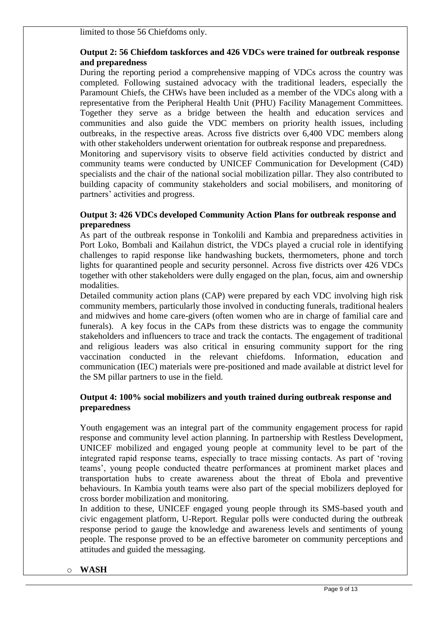limited to those 56 Chiefdoms only.

## **Output 2: 56 Chiefdom taskforces and 426 VDCs were trained for outbreak response and preparedness**

During the reporting period a comprehensive mapping of VDCs across the country was completed. Following sustained advocacy with the traditional leaders, especially the Paramount Chiefs, the CHWs have been included as a member of the VDCs along with a representative from the Peripheral Health Unit (PHU) Facility Management Committees. Together they serve as a bridge between the health and education services and communities and also guide the VDC members on priority health issues, including outbreaks, in the respective areas. Across five districts over 6,400 VDC members along with other stakeholders underwent orientation for outbreak response and preparedness.

Monitoring and supervisory visits to observe field activities conducted by district and community teams were conducted by UNICEF Communication for Development (C4D) specialists and the chair of the national social mobilization pillar. They also contributed to building capacity of community stakeholders and social mobilisers, and monitoring of partners' activities and progress.

#### **Output 3: 426 VDCs developed Community Action Plans for outbreak response and preparedness**

As part of the outbreak response in Tonkolili and Kambia and preparedness activities in Port Loko, Bombali and Kailahun district, the VDCs played a crucial role in identifying challenges to rapid response like handwashing buckets, thermometers, phone and torch lights for quarantined people and security personnel. Across five districts over 426 VDCs together with other stakeholders were dully engaged on the plan, focus, aim and ownership modalities.

Detailed community action plans (CAP) were prepared by each VDC involving high risk community members, particularly those involved in conducting funerals, traditional healers and midwives and home care-givers (often women who are in charge of familial care and funerals). A key focus in the CAPs from these districts was to engage the community stakeholders and influencers to trace and track the contacts. The engagement of traditional and religious leaders was also critical in ensuring community support for the ring vaccination conducted in the relevant chiefdoms. Information, education and communication (IEC) materials were pre-positioned and made available at district level for the SM pillar partners to use in the field.

## **Output 4: 100% social mobilizers and youth trained during outbreak response and preparedness**

Youth engagement was an integral part of the community engagement process for rapid response and community level action planning. In partnership with Restless Development, UNICEF mobilized and engaged young people at community level to be part of the integrated rapid response teams, especially to trace missing contacts. As part of 'roving teams', young people conducted theatre performances at prominent market places and transportation hubs to create awareness about the threat of Ebola and preventive behaviours. In Kambia youth teams were also part of the special mobilizers deployed for cross border mobilization and monitoring.

In addition to these, UNICEF engaged young people through its SMS-based youth and civic engagement platform, U-Report. Regular polls were conducted during the outbreak response period to gauge the knowledge and awareness levels and sentiments of young people. The response proved to be an effective barometer on community perceptions and attitudes and guided the messaging.

#### o **WASH**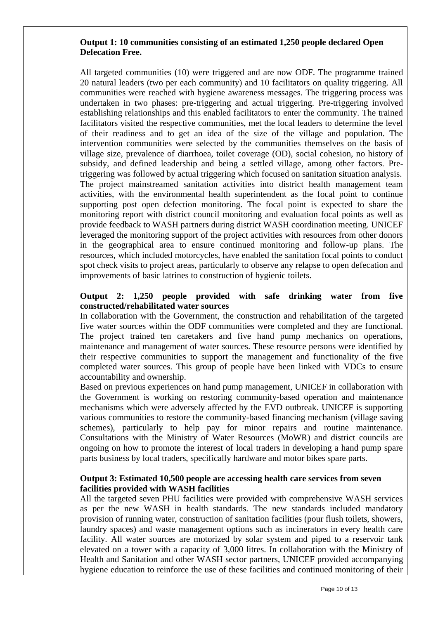### **Output 1: 10 communities consisting of an estimated 1,250 people declared Open Defecation Free.**

All targeted communities (10) were triggered and are now ODF. The programme trained 20 natural leaders (two per each community) and 10 facilitators on quality triggering. All communities were reached with hygiene awareness messages. The triggering process was undertaken in two phases: pre-triggering and actual triggering. Pre-triggering involved establishing relationships and this enabled facilitators to enter the community. The trained facilitators visited the respective communities, met the local leaders to determine the level of their readiness and to get an idea of the size of the village and population. The intervention communities were selected by the communities themselves on the basis of village size, prevalence of diarrhoea, toilet coverage (OD), social cohesion, no history of subsidy, and defined leadership and being a settled village, among other factors. Pretriggering was followed by actual triggering which focused on sanitation situation analysis. The project mainstreamed sanitation activities into district health management team activities, with the environmental health superintendent as the focal point to continue supporting post open defection monitoring. The focal point is expected to share the monitoring report with district council monitoring and evaluation focal points as well as provide feedback to WASH partners during district WASH coordination meeting. UNICEF leveraged the monitoring support of the project activities with resources from other donors in the geographical area to ensure continued monitoring and follow-up plans. The resources, which included motorcycles, have enabled the sanitation focal points to conduct spot check visits to project areas, particularly to observe any relapse to open defecation and improvements of basic latrines to construction of hygienic toilets.

## **Output 2: 1,250 people provided with safe drinking water from five constructed/rehabilitated water sources**

In collaboration with the Government, the construction and rehabilitation of the targeted five water sources within the ODF communities were completed and they are functional. The project trained ten caretakers and five hand pump mechanics on operations, maintenance and management of water sources. These resource persons were identified by their respective communities to support the management and functionality of the five completed water sources. This group of people have been linked with VDCs to ensure accountability and ownership.

Based on previous experiences on hand pump management, UNICEF in collaboration with the Government is working on restoring community-based operation and maintenance mechanisms which were adversely affected by the EVD outbreak. UNICEF is supporting various communities to restore the community-based financing mechanism (village saving schemes), particularly to help pay for minor repairs and routine maintenance. Consultations with the Ministry of Water Resources (MoWR) and district councils are ongoing on how to promote the interest of local traders in developing a hand pump spare parts business by local traders, specifically hardware and motor bikes spare parts.

### **Output 3: Estimated 10,500 people are accessing health care services from seven facilities provided with WASH facilities**

All the targeted seven PHU facilities were provided with comprehensive WASH services as per the new WASH in health standards. The new standards included mandatory provision of running water, construction of sanitation facilities (pour flush toilets, showers, laundry spaces) and waste management options such as incinerators in every health care facility. All water sources are motorized by solar system and piped to a reservoir tank elevated on a tower with a capacity of 3,000 litres. In collaboration with the Ministry of Health and Sanitation and other WASH sector partners, UNICEF provided accompanying hygiene education to reinforce the use of these facilities and continued monitoring of their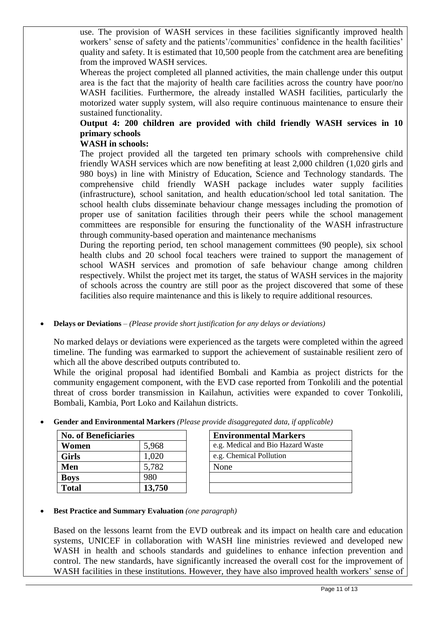use. The provision of WASH services in these facilities significantly improved health workers' sense of safety and the patients'/communities' confidence in the health facilities' quality and safety. It is estimated that 10,500 people from the catchment area are benefiting from the improved WASH services.

Whereas the project completed all planned activities, the main challenge under this output area is the fact that the majority of health care facilities across the country have poor/no WASH facilities. Furthermore, the already installed WASH facilities, particularly the motorized water supply system, will also require continuous maintenance to ensure their sustained functionality.

# **Output 4: 200 children are provided with child friendly WASH services in 10 primary schools**

## **WASH in schools:**

The project provided all the targeted ten primary schools with comprehensive child friendly WASH services which are now benefiting at least 2,000 children (1,020 girls and 980 boys) in line with Ministry of Education, Science and Technology standards. The comprehensive child friendly WASH package includes water supply facilities (infrastructure), school sanitation, and health education/school led total sanitation. The school health clubs disseminate behaviour change messages including the promotion of proper use of sanitation facilities through their peers while the school management committees are responsible for ensuring the functionality of the WASH infrastructure through community-based operation and maintenance mechanisms

During the reporting period, ten school management committees (90 people), six school health clubs and 20 school focal teachers were trained to support the management of school WASH services and promotion of safe behaviour change among children respectively. Whilst the project met its target, the status of WASH services in the majority of schools across the country are still poor as the project discovered that some of these facilities also require maintenance and this is likely to require additional resources.

**Delays or Deviations** *– (Please provide short justification for any delays or deviations)*

No marked delays or deviations were experienced as the targets were completed within the agreed timeline. The funding was earmarked to support the achievement of sustainable resilient zero of which all the above described outputs contributed to.

While the original proposal had identified Bombali and Kambia as project districts for the community engagement component, with the EVD case reported from Tonkolili and the potential threat of cross border transmission in Kailahun, activities were expanded to cover Tonkolili, Bombali, Kambia, Port Loko and Kailahun districts.

| <b>No. of Beneficiaries</b> |        | <b>Environmental Markers</b>      |
|-----------------------------|--------|-----------------------------------|
| Women                       | 5,968  | e.g. Medical and Bio Hazard Waste |
| <b>Girls</b>                | .020   | e.g. Chemical Pollution           |
| Men                         | 5,782  | None                              |
| <b>Boys</b>                 | 980    |                                   |
| <b>Total</b>                | 13,750 |                                   |

|      | <b>Environmental Markers</b>      |
|------|-----------------------------------|
|      | e.g. Medical and Bio Hazard Waste |
|      | e.g. Chemical Pollution           |
| None |                                   |
|      |                                   |
|      |                                   |

**Gender and Environmental Markers** *(Please provide disaggregated data, if applicable)*

## **Best Practice and Summary Evaluation** *(one paragraph)*

Based on the lessons learnt from the EVD outbreak and its impact on health care and education systems, UNICEF in collaboration with WASH line ministries reviewed and developed new WASH in health and schools standards and guidelines to enhance infection prevention and control. The new standards, have significantly increased the overall cost for the improvement of WASH facilities in these institutions. However, they have also improved health workers' sense of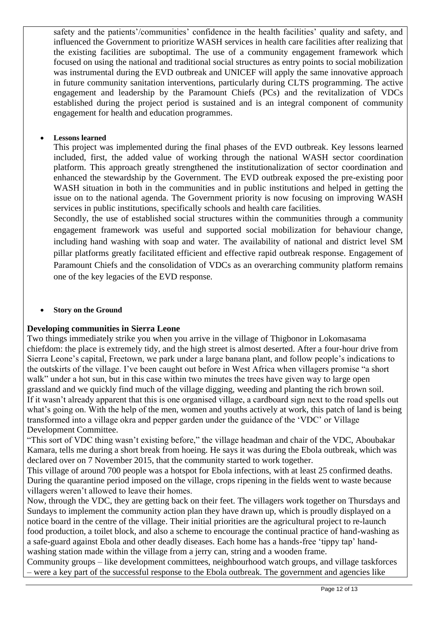safety and the patients'/communities' confidence in the health facilities' quality and safety, and influenced the Government to prioritize WASH services in health care facilities after realizing that the existing facilities are suboptimal. The use of a community engagement framework which focused on using the national and traditional social structures as entry points to social mobilization was instrumental during the EVD outbreak and UNICEF will apply the same innovative approach in future community sanitation interventions, particularly during CLTS programming. The active engagement and leadership by the Paramount Chiefs (PCs) and the revitalization of VDCs established during the project period is sustained and is an integral component of community engagement for health and education programmes.

## **Lessons learned**

This project was implemented during the final phases of the EVD outbreak. Key lessons learned included, first, the added value of working through the national WASH sector coordination platform. This approach greatly strengthened the institutionalization of sector coordination and enhanced the stewardship by the Government. The EVD outbreak exposed the pre-existing poor WASH situation in both in the communities and in public institutions and helped in getting the issue on to the national agenda. The Government priority is now focusing on improving WASH services in public institutions, specifically schools and health care facilities.

Secondly, the use of established social structures within the communities through a community engagement framework was useful and supported social mobilization for behaviour change, including hand washing with soap and water. The availability of national and district level SM pillar platforms greatly facilitated efficient and effective rapid outbreak response. Engagement of Paramount Chiefs and the consolidation of VDCs as an overarching community platform remains one of the key legacies of the EVD response.

## **Story on the Ground**

#### **Developing communities in Sierra Leone**

Two things immediately strike you when you arrive in the village of Thigbonor in Lokomasama chiefdom: the place is extremely tidy, and the high street is almost deserted. After a four-hour drive from Sierra Leone's capital, Freetown, we park under a large banana plant, and follow people's indications to the outskirts of the village. I've been caught out before in West Africa when villagers promise "a short walk" under a hot sun, but in this case within two minutes the trees have given way to large open grassland and we quickly find much of the village digging, weeding and planting the rich brown soil. If it wasn't already apparent that this is one organised village, a cardboard sign next to the road spells out what's going on. With the help of the men, women and youths actively at work, this patch of land is being transformed into a village okra and pepper garden under the guidance of the 'VDC' or Village Development Committee.

"This sort of VDC thing wasn't existing before," the village headman and chair of the VDC, Aboubakar Kamara, tells me during a short break from hoeing. He says it was during the Ebola outbreak, which was declared over on 7 November 2015, that the community started to work together.

This village of around 700 people was a hotspot for Ebola infections, with at least 25 confirmed deaths. During the quarantine period imposed on the village, crops ripening in the fields went to waste because villagers weren't allowed to leave their homes.

Now, through the VDC, they are getting back on their feet. The villagers work together on Thursdays and Sundays to implement the community action plan they have drawn up, which is proudly displayed on a notice board in the centre of the village. Their initial priorities are the agricultural project to re-launch food production, a toilet block, and also a scheme to encourage the continual practice of hand-washing as a safe-guard against Ebola and other deadly diseases. Each home has a hands-free 'tippy tap' handwashing station made within the village from a jerry can, string and a wooden frame.

Community groups – like development committees, neighbourhood watch groups, and village taskforces – were a key part of the successful response to the Ebola outbreak. The government and agencies like